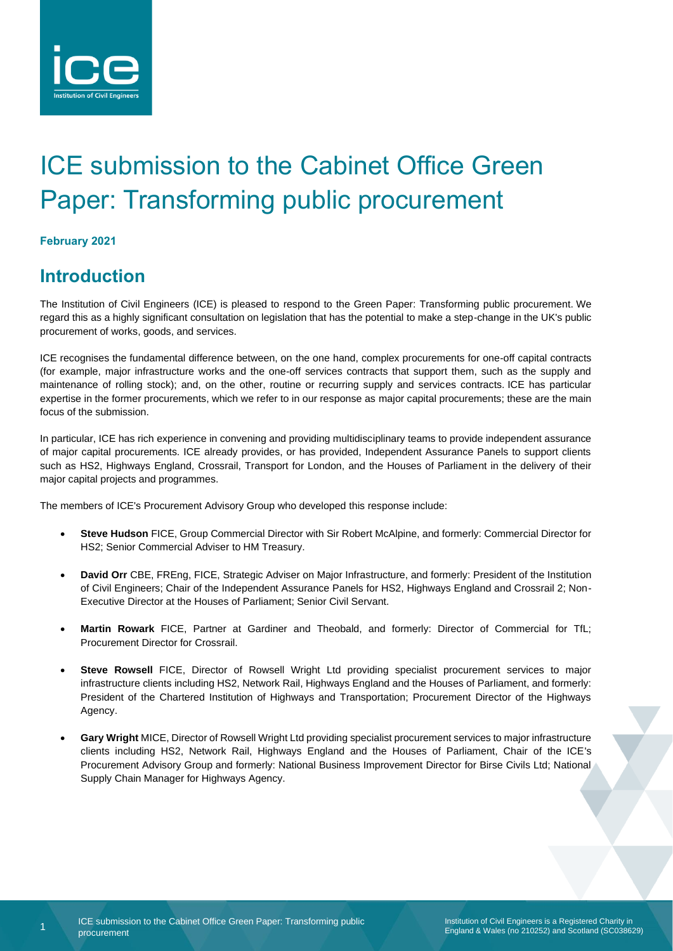

# ICE submission to the Cabinet Office Green Paper: Transforming public procurement

### **February 2021**

1

## **Introduction**

The Institution of Civil Engineers (ICE) is pleased to respond to the Green Paper: Transforming public procurement. We regard this as a highly significant consultation on legislation that has the potential to make a step-change in the UK's public procurement of works, goods, and services.

ICE recognises the fundamental difference between, on the one hand, complex procurements for one-off capital contracts (for example, major infrastructure works and the one-off services contracts that support them, such as the supply and maintenance of rolling stock); and, on the other, routine or recurring supply and services contracts. ICE has particular expertise in the former procurements, which we refer to in our response as major capital procurements; these are the main focus of the submission.

In particular, ICE has rich experience in convening and providing multidisciplinary teams to provide independent assurance of major capital procurements. ICE already provides, or has provided, Independent Assurance Panels to support clients such as HS2, Highways England, Crossrail, Transport for London, and the Houses of Parliament in the delivery of their major capital projects and programmes.

The members of ICE's Procurement Advisory Group who developed this response include:

- **Steve Hudson** FICE, Group Commercial Director with Sir Robert McAlpine, and formerly: Commercial Director for HS2; Senior Commercial Adviser to HM Treasury.
- **David Orr** CBE, FREng, FICE, Strategic Adviser on Major Infrastructure, and formerly: President of the Institution of Civil Engineers; Chair of the Independent Assurance Panels for HS2, Highways England and Crossrail 2; Non-Executive Director at the Houses of Parliament; Senior Civil Servant.
- **Martin Rowark** FICE, Partner at Gardiner and Theobald, and formerly: Director of Commercial for TfL; Procurement Director for Crossrail.
- **Steve Rowsell** FICE, Director of Rowsell Wright Ltd providing specialist procurement services to major infrastructure clients including HS2, Network Rail, Highways England and the Houses of Parliament, and formerly: President of the Chartered Institution of Highways and Transportation; Procurement Director of the Highways Agency.
- **Gary Wright** MICE, Director of Rowsell Wright Ltd providing specialist procurement services to major infrastructure clients including HS2, Network Rail, Highways England and the Houses of Parliament, Chair of the ICE's Procurement Advisory Group and formerly: National Business Improvement Director for Birse Civils Ltd; National Supply Chain Manager for Highways Agency.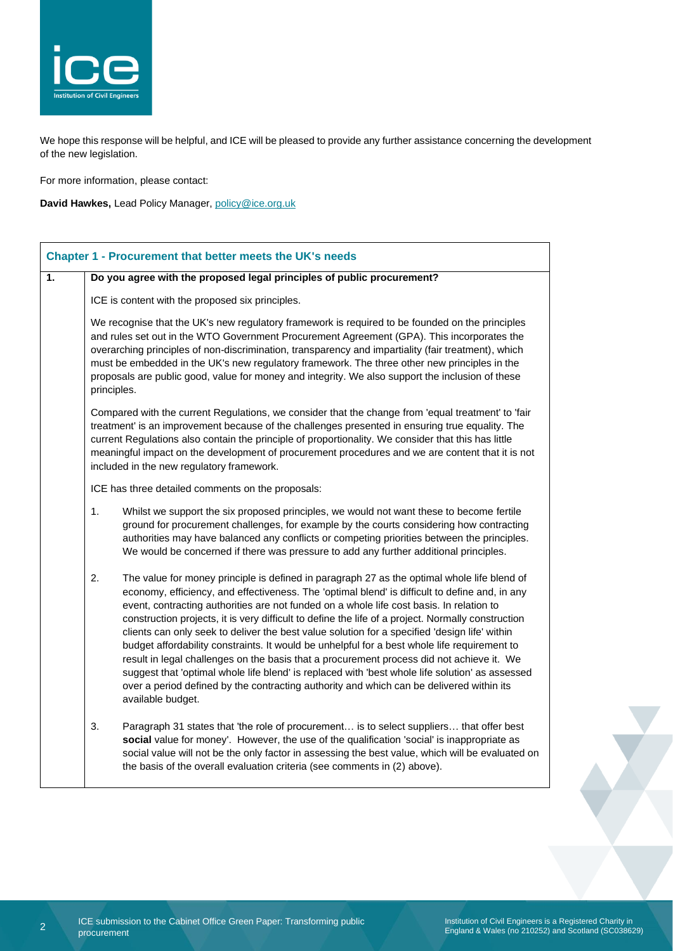

We hope this response will be helpful, and ICE will be pleased to provide any further assistance concerning the development of the new legislation.

For more information, please contact:

**David Hawkes,** Lead Policy Manager, [policy@ice.org.uk](mailto:policy@ice.org.uk)

|    | Chapter 1 - Procurement that better meets the UK's needs                                                                                                                                                                                                                                                                                                                                                                                                                                                                                                                                                                                                                                                                                                                                                                                                                                                                |
|----|-------------------------------------------------------------------------------------------------------------------------------------------------------------------------------------------------------------------------------------------------------------------------------------------------------------------------------------------------------------------------------------------------------------------------------------------------------------------------------------------------------------------------------------------------------------------------------------------------------------------------------------------------------------------------------------------------------------------------------------------------------------------------------------------------------------------------------------------------------------------------------------------------------------------------|
| 1. | Do you agree with the proposed legal principles of public procurement?                                                                                                                                                                                                                                                                                                                                                                                                                                                                                                                                                                                                                                                                                                                                                                                                                                                  |
|    | ICE is content with the proposed six principles.                                                                                                                                                                                                                                                                                                                                                                                                                                                                                                                                                                                                                                                                                                                                                                                                                                                                        |
|    | We recognise that the UK's new regulatory framework is required to be founded on the principles<br>and rules set out in the WTO Government Procurement Agreement (GPA). This incorporates the<br>overarching principles of non-discrimination, transparency and impartiality (fair treatment), which<br>must be embedded in the UK's new regulatory framework. The three other new principles in the<br>proposals are public good, value for money and integrity. We also support the inclusion of these<br>principles.                                                                                                                                                                                                                                                                                                                                                                                                 |
|    | Compared with the current Regulations, we consider that the change from 'equal treatment' to 'fair<br>treatment' is an improvement because of the challenges presented in ensuring true equality. The<br>current Regulations also contain the principle of proportionality. We consider that this has little<br>meaningful impact on the development of procurement procedures and we are content that it is not<br>included in the new regulatory framework.                                                                                                                                                                                                                                                                                                                                                                                                                                                           |
|    | ICE has three detailed comments on the proposals:                                                                                                                                                                                                                                                                                                                                                                                                                                                                                                                                                                                                                                                                                                                                                                                                                                                                       |
|    | 1.<br>Whilst we support the six proposed principles, we would not want these to become fertile<br>ground for procurement challenges, for example by the courts considering how contracting<br>authorities may have balanced any conflicts or competing priorities between the principles.<br>We would be concerned if there was pressure to add any further additional principles.                                                                                                                                                                                                                                                                                                                                                                                                                                                                                                                                      |
|    | 2.<br>The value for money principle is defined in paragraph 27 as the optimal whole life blend of<br>economy, efficiency, and effectiveness. The 'optimal blend' is difficult to define and, in any<br>event, contracting authorities are not funded on a whole life cost basis. In relation to<br>construction projects, it is very difficult to define the life of a project. Normally construction<br>clients can only seek to deliver the best value solution for a specified 'design life' within<br>budget affordability constraints. It would be unhelpful for a best whole life requirement to<br>result in legal challenges on the basis that a procurement process did not achieve it. We<br>suggest that 'optimal whole life blend' is replaced with 'best whole life solution' as assessed<br>over a period defined by the contracting authority and which can be delivered within its<br>available budget. |
|    | 3.<br>Paragraph 31 states that 'the role of procurement is to select suppliers that offer best<br>social value for money'. However, the use of the qualification 'social' is inappropriate as<br>social value will not be the only factor in assessing the best value, which will be evaluated on<br>the basis of the overall evaluation criteria (see comments in (2) above).                                                                                                                                                                                                                                                                                                                                                                                                                                                                                                                                          |

2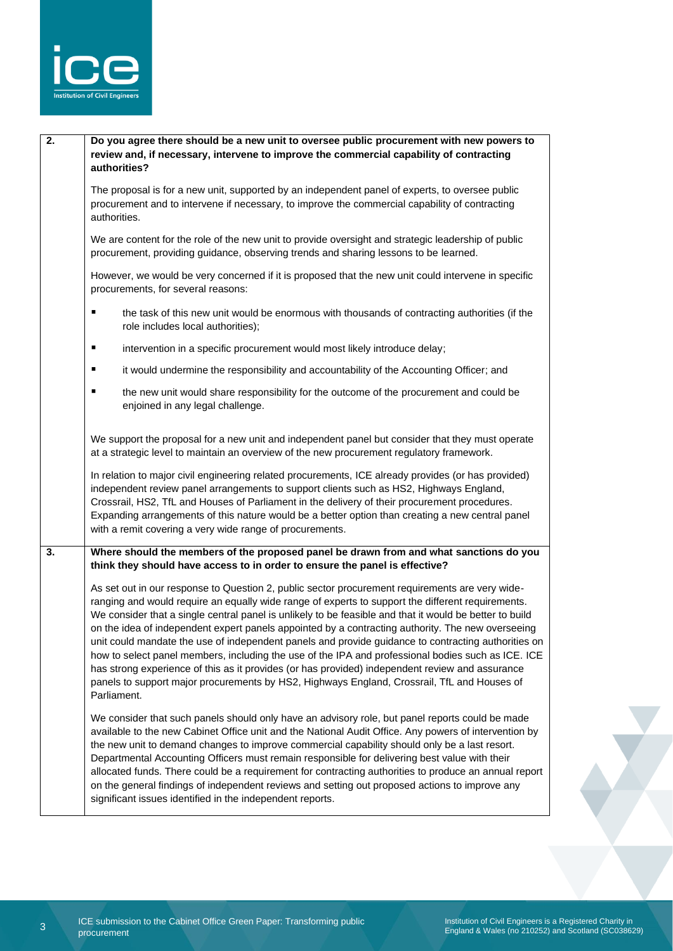

| 2. | Do you agree there should be a new unit to oversee public procurement with new powers to<br>review and, if necessary, intervene to improve the commercial capability of contracting<br>authorities?                                                                                                                                                                                                                                                                                                                                                                                                                                                                                                                                                                                                                                                |  |
|----|----------------------------------------------------------------------------------------------------------------------------------------------------------------------------------------------------------------------------------------------------------------------------------------------------------------------------------------------------------------------------------------------------------------------------------------------------------------------------------------------------------------------------------------------------------------------------------------------------------------------------------------------------------------------------------------------------------------------------------------------------------------------------------------------------------------------------------------------------|--|
|    | The proposal is for a new unit, supported by an independent panel of experts, to oversee public<br>procurement and to intervene if necessary, to improve the commercial capability of contracting<br>authorities.                                                                                                                                                                                                                                                                                                                                                                                                                                                                                                                                                                                                                                  |  |
|    | We are content for the role of the new unit to provide oversight and strategic leadership of public<br>procurement, providing guidance, observing trends and sharing lessons to be learned.                                                                                                                                                                                                                                                                                                                                                                                                                                                                                                                                                                                                                                                        |  |
|    | However, we would be very concerned if it is proposed that the new unit could intervene in specific<br>procurements, for several reasons:                                                                                                                                                                                                                                                                                                                                                                                                                                                                                                                                                                                                                                                                                                          |  |
|    | the task of this new unit would be enormous with thousands of contracting authorities (if the<br>п<br>role includes local authorities);                                                                                                                                                                                                                                                                                                                                                                                                                                                                                                                                                                                                                                                                                                            |  |
|    | ٠<br>intervention in a specific procurement would most likely introduce delay;                                                                                                                                                                                                                                                                                                                                                                                                                                                                                                                                                                                                                                                                                                                                                                     |  |
|    | it would undermine the responsibility and accountability of the Accounting Officer; and<br>٠                                                                                                                                                                                                                                                                                                                                                                                                                                                                                                                                                                                                                                                                                                                                                       |  |
|    | the new unit would share responsibility for the outcome of the procurement and could be<br>п<br>enjoined in any legal challenge.                                                                                                                                                                                                                                                                                                                                                                                                                                                                                                                                                                                                                                                                                                                   |  |
|    | We support the proposal for a new unit and independent panel but consider that they must operate<br>at a strategic level to maintain an overview of the new procurement regulatory framework.                                                                                                                                                                                                                                                                                                                                                                                                                                                                                                                                                                                                                                                      |  |
|    | In relation to major civil engineering related procurements, ICE already provides (or has provided)<br>independent review panel arrangements to support clients such as HS2, Highways England,<br>Crossrail, HS2, TfL and Houses of Parliament in the delivery of their procurement procedures.<br>Expanding arrangements of this nature would be a better option than creating a new central panel<br>with a remit covering a very wide range of procurements.                                                                                                                                                                                                                                                                                                                                                                                    |  |
| 3. | Where should the members of the proposed panel be drawn from and what sanctions do you<br>think they should have access to in order to ensure the panel is effective?                                                                                                                                                                                                                                                                                                                                                                                                                                                                                                                                                                                                                                                                              |  |
|    | As set out in our response to Question 2, public sector procurement requirements are very wide-<br>ranging and would require an equally wide range of experts to support the different requirements.<br>We consider that a single central panel is unlikely to be feasible and that it would be better to build<br>on the idea of independent expert panels appointed by a contracting authority. The new overseeing<br>unit could mandate the use of independent panels and provide guidance to contracting authorities on<br>how to select panel members, including the use of the IPA and professional bodies such as ICE. ICE<br>has strong experience of this as it provides (or has provided) independent review and assurance<br>panels to support major procurements by HS2, Highways England, Crossrail, TfL and Houses of<br>Parliament. |  |
|    | We consider that such panels should only have an advisory role, but panel reports could be made<br>available to the new Cabinet Office unit and the National Audit Office. Any powers of intervention by<br>the new unit to demand changes to improve commercial capability should only be a last resort.<br>Departmental Accounting Officers must remain responsible for delivering best value with their<br>allocated funds. There could be a requirement for contracting authorities to produce an annual report<br>on the general findings of independent reviews and setting out proposed actions to improve any<br>significant issues identified in the independent reports.                                                                                                                                                                 |  |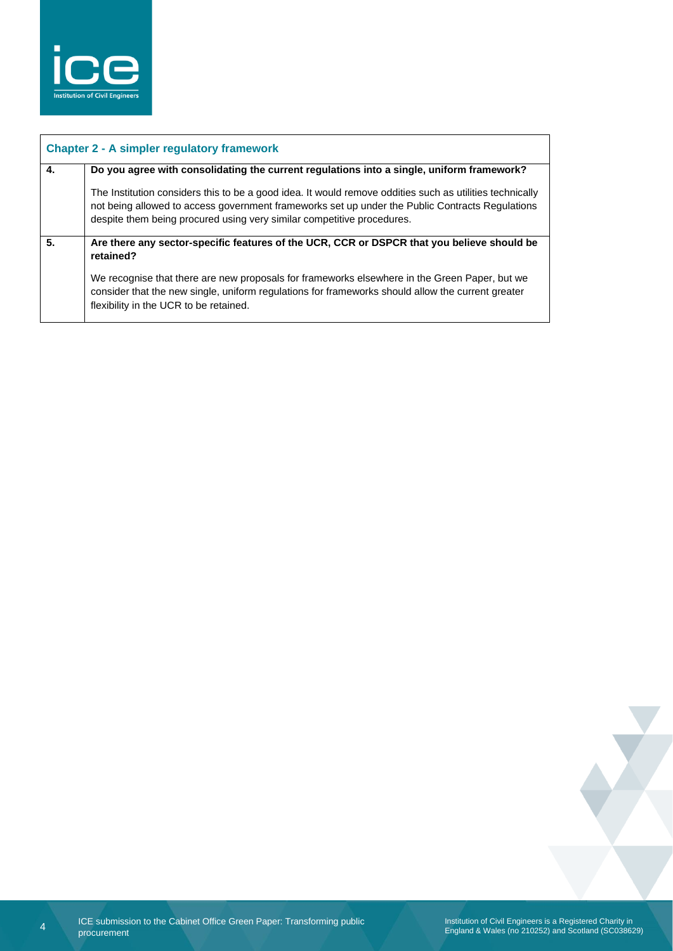

| 4. | Do you agree with consolidating the current regulations into a single, uniform framework?                                                                                                                                                                                             |  |
|----|---------------------------------------------------------------------------------------------------------------------------------------------------------------------------------------------------------------------------------------------------------------------------------------|--|
|    | The Institution considers this to be a good idea. It would remove oddities such as utilities technically<br>not being allowed to access government frameworks set up under the Public Contracts Regulations<br>despite them being procured using very similar competitive procedures. |  |
| 5. | Are there any sector-specific features of the UCR, CCR or DSPCR that you believe should be<br>retained?                                                                                                                                                                               |  |
|    | We recognise that there are new proposals for frameworks elsewhere in the Green Paper, but we<br>consider that the new single, uniform regulations for frameworks should allow the current greater<br>flexibility in the UCR to be retained.                                          |  |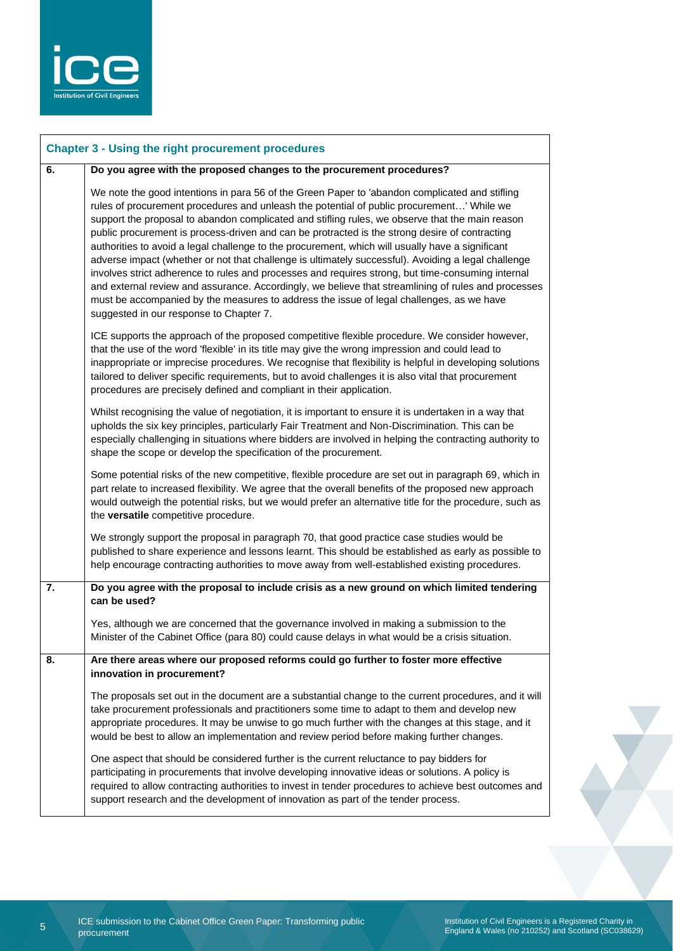

|    | <b>Chapter 3 - Using the right procurement procedures</b>                                                                                                                                                                                                                                                                                                                                                                                                                                                                                                                                                                                                                                                                                                                                                                                                                                                                                                      |
|----|----------------------------------------------------------------------------------------------------------------------------------------------------------------------------------------------------------------------------------------------------------------------------------------------------------------------------------------------------------------------------------------------------------------------------------------------------------------------------------------------------------------------------------------------------------------------------------------------------------------------------------------------------------------------------------------------------------------------------------------------------------------------------------------------------------------------------------------------------------------------------------------------------------------------------------------------------------------|
| 6. | Do you agree with the proposed changes to the procurement procedures?                                                                                                                                                                                                                                                                                                                                                                                                                                                                                                                                                                                                                                                                                                                                                                                                                                                                                          |
|    | We note the good intentions in para 56 of the Green Paper to 'abandon complicated and stifling<br>rules of procurement procedures and unleash the potential of public procurement' While we<br>support the proposal to abandon complicated and stifling rules, we observe that the main reason<br>public procurement is process-driven and can be protracted is the strong desire of contracting<br>authorities to avoid a legal challenge to the procurement, which will usually have a significant<br>adverse impact (whether or not that challenge is ultimately successful). Avoiding a legal challenge<br>involves strict adherence to rules and processes and requires strong, but time-consuming internal<br>and external review and assurance. Accordingly, we believe that streamlining of rules and processes<br>must be accompanied by the measures to address the issue of legal challenges, as we have<br>suggested in our response to Chapter 7. |
|    | ICE supports the approach of the proposed competitive flexible procedure. We consider however,<br>that the use of the word 'flexible' in its title may give the wrong impression and could lead to<br>inappropriate or imprecise procedures. We recognise that flexibility is helpful in developing solutions<br>tailored to deliver specific requirements, but to avoid challenges it is also vital that procurement<br>procedures are precisely defined and compliant in their application.                                                                                                                                                                                                                                                                                                                                                                                                                                                                  |
|    | Whilst recognising the value of negotiation, it is important to ensure it is undertaken in a way that<br>upholds the six key principles, particularly Fair Treatment and Non-Discrimination. This can be<br>especially challenging in situations where bidders are involved in helping the contracting authority to<br>shape the scope or develop the specification of the procurement.                                                                                                                                                                                                                                                                                                                                                                                                                                                                                                                                                                        |
|    | Some potential risks of the new competitive, flexible procedure are set out in paragraph 69, which in<br>part relate to increased flexibility. We agree that the overall benefits of the proposed new approach<br>would outweigh the potential risks, but we would prefer an alternative title for the procedure, such as<br>the versatile competitive procedure.                                                                                                                                                                                                                                                                                                                                                                                                                                                                                                                                                                                              |
|    | We strongly support the proposal in paragraph 70, that good practice case studies would be<br>published to share experience and lessons learnt. This should be established as early as possible to<br>help encourage contracting authorities to move away from well-established existing procedures.                                                                                                                                                                                                                                                                                                                                                                                                                                                                                                                                                                                                                                                           |
| 7. | Do you agree with the proposal to include crisis as a new ground on which limited tendering<br>can be used?                                                                                                                                                                                                                                                                                                                                                                                                                                                                                                                                                                                                                                                                                                                                                                                                                                                    |
|    | Yes, although we are concerned that the governance involved in making a submission to the<br>Minister of the Cabinet Office (para 80) could cause delays in what would be a crisis situation.                                                                                                                                                                                                                                                                                                                                                                                                                                                                                                                                                                                                                                                                                                                                                                  |
| 8. | Are there areas where our proposed reforms could go further to foster more effective<br>innovation in procurement?                                                                                                                                                                                                                                                                                                                                                                                                                                                                                                                                                                                                                                                                                                                                                                                                                                             |
|    | The proposals set out in the document are a substantial change to the current procedures, and it will<br>take procurement professionals and practitioners some time to adapt to them and develop new<br>appropriate procedures. It may be unwise to go much further with the changes at this stage, and it<br>would be best to allow an implementation and review period before making further changes.                                                                                                                                                                                                                                                                                                                                                                                                                                                                                                                                                        |
|    | One aspect that should be considered further is the current reluctance to pay bidders for<br>participating in procurements that involve developing innovative ideas or solutions. A policy is<br>required to allow contracting authorities to invest in tender procedures to achieve best outcomes and<br>support research and the development of innovation as part of the tender process.                                                                                                                                                                                                                                                                                                                                                                                                                                                                                                                                                                    |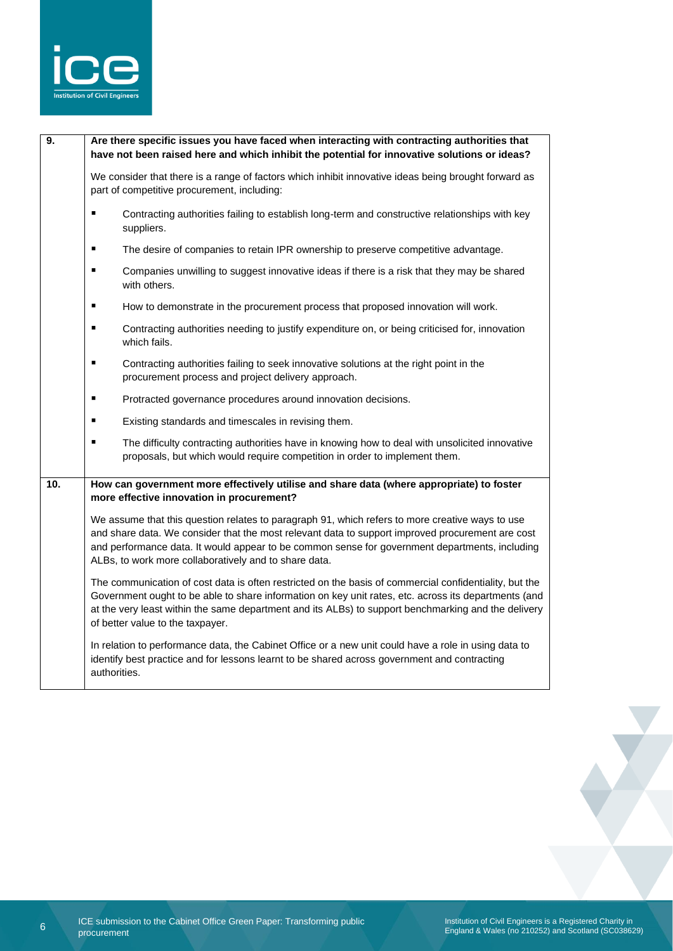

| 9.  | Are there specific issues you have faced when interacting with contracting authorities that<br>have not been raised here and which inhibit the potential for innovative solutions or ideas?                                                                                                                                                                    |
|-----|----------------------------------------------------------------------------------------------------------------------------------------------------------------------------------------------------------------------------------------------------------------------------------------------------------------------------------------------------------------|
|     | We consider that there is a range of factors which inhibit innovative ideas being brought forward as<br>part of competitive procurement, including:                                                                                                                                                                                                            |
|     | ٠<br>Contracting authorities failing to establish long-term and constructive relationships with key<br>suppliers.                                                                                                                                                                                                                                              |
|     | $\blacksquare$<br>The desire of companies to retain IPR ownership to preserve competitive advantage.                                                                                                                                                                                                                                                           |
|     | $\blacksquare$<br>Companies unwilling to suggest innovative ideas if there is a risk that they may be shared<br>with others.                                                                                                                                                                                                                                   |
|     | ٠<br>How to demonstrate in the procurement process that proposed innovation will work.                                                                                                                                                                                                                                                                         |
|     | $\blacksquare$<br>Contracting authorities needing to justify expenditure on, or being criticised for, innovation<br>which fails.                                                                                                                                                                                                                               |
|     | ٠<br>Contracting authorities failing to seek innovative solutions at the right point in the<br>procurement process and project delivery approach.                                                                                                                                                                                                              |
|     | $\blacksquare$<br>Protracted governance procedures around innovation decisions.                                                                                                                                                                                                                                                                                |
|     | ٠<br>Existing standards and timescales in revising them.                                                                                                                                                                                                                                                                                                       |
|     | ٠<br>The difficulty contracting authorities have in knowing how to deal with unsolicited innovative<br>proposals, but which would require competition in order to implement them.                                                                                                                                                                              |
| 10. | How can government more effectively utilise and share data (where appropriate) to foster<br>more effective innovation in procurement?                                                                                                                                                                                                                          |
|     | We assume that this question relates to paragraph 91, which refers to more creative ways to use<br>and share data. We consider that the most relevant data to support improved procurement are cost<br>and performance data. It would appear to be common sense for government departments, including<br>ALBs, to work more collaboratively and to share data. |
|     | The communication of cost data is often restricted on the basis of commercial confidentiality, but the<br>Government ought to be able to share information on key unit rates, etc. across its departments (and<br>at the very least within the same department and its ALBs) to support benchmarking and the delivery<br>of better value to the taxpayer.      |
|     | In relation to performance data, the Cabinet Office or a new unit could have a role in using data to<br>identify best practice and for lessons learnt to be shared across government and contracting<br>authorities.                                                                                                                                           |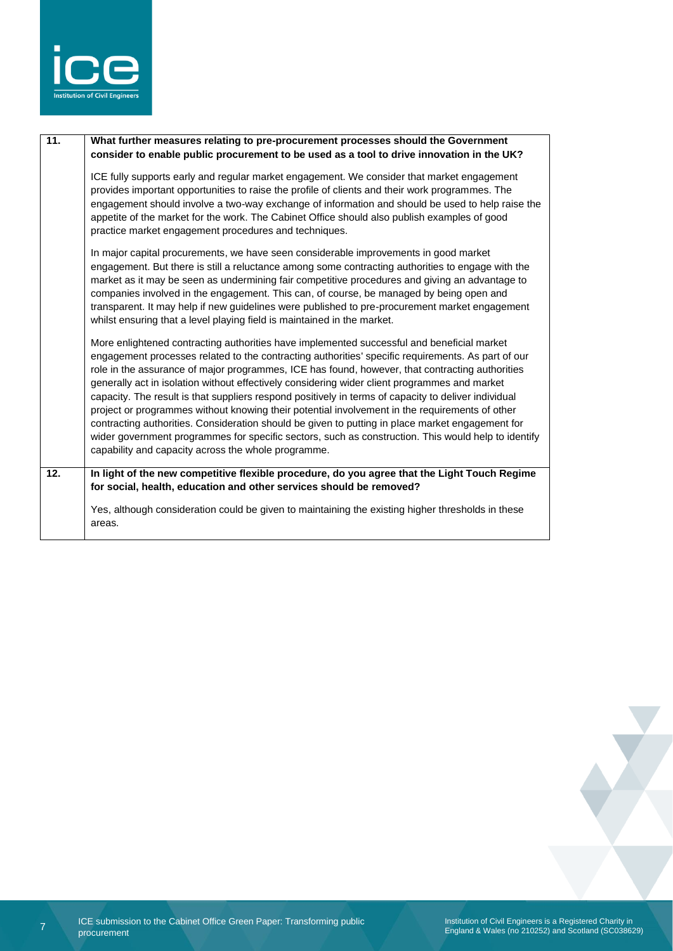

| $\overline{11}$ . | What further measures relating to pre-procurement processes should the Government<br>consider to enable public procurement to be used as a tool to drive innovation in the UK?                                                                                                                                                                                                                                                                                                                                                                                                                                                                                                                                                                                                                                                                                                   |
|-------------------|----------------------------------------------------------------------------------------------------------------------------------------------------------------------------------------------------------------------------------------------------------------------------------------------------------------------------------------------------------------------------------------------------------------------------------------------------------------------------------------------------------------------------------------------------------------------------------------------------------------------------------------------------------------------------------------------------------------------------------------------------------------------------------------------------------------------------------------------------------------------------------|
|                   | ICE fully supports early and regular market engagement. We consider that market engagement<br>provides important opportunities to raise the profile of clients and their work programmes. The<br>engagement should involve a two-way exchange of information and should be used to help raise the<br>appetite of the market for the work. The Cabinet Office should also publish examples of good<br>practice market engagement procedures and techniques.                                                                                                                                                                                                                                                                                                                                                                                                                       |
|                   | In major capital procurements, we have seen considerable improvements in good market<br>engagement. But there is still a reluctance among some contracting authorities to engage with the<br>market as it may be seen as undermining fair competitive procedures and giving an advantage to<br>companies involved in the engagement. This can, of course, be managed by being open and<br>transparent. It may help if new guidelines were published to pre-procurement market engagement<br>whilst ensuring that a level playing field is maintained in the market.                                                                                                                                                                                                                                                                                                              |
|                   | More enlightened contracting authorities have implemented successful and beneficial market<br>engagement processes related to the contracting authorities' specific requirements. As part of our<br>role in the assurance of major programmes, ICE has found, however, that contracting authorities<br>generally act in isolation without effectively considering wider client programmes and market<br>capacity. The result is that suppliers respond positively in terms of capacity to deliver individual<br>project or programmes without knowing their potential involvement in the requirements of other<br>contracting authorities. Consideration should be given to putting in place market engagement for<br>wider government programmes for specific sectors, such as construction. This would help to identify<br>capability and capacity across the whole programme. |
| $\overline{12}$ . | In light of the new competitive flexible procedure, do you agree that the Light Touch Regime<br>for social, health, education and other services should be removed?                                                                                                                                                                                                                                                                                                                                                                                                                                                                                                                                                                                                                                                                                                              |
|                   | Yes, although consideration could be given to maintaining the existing higher thresholds in these<br>areas.                                                                                                                                                                                                                                                                                                                                                                                                                                                                                                                                                                                                                                                                                                                                                                      |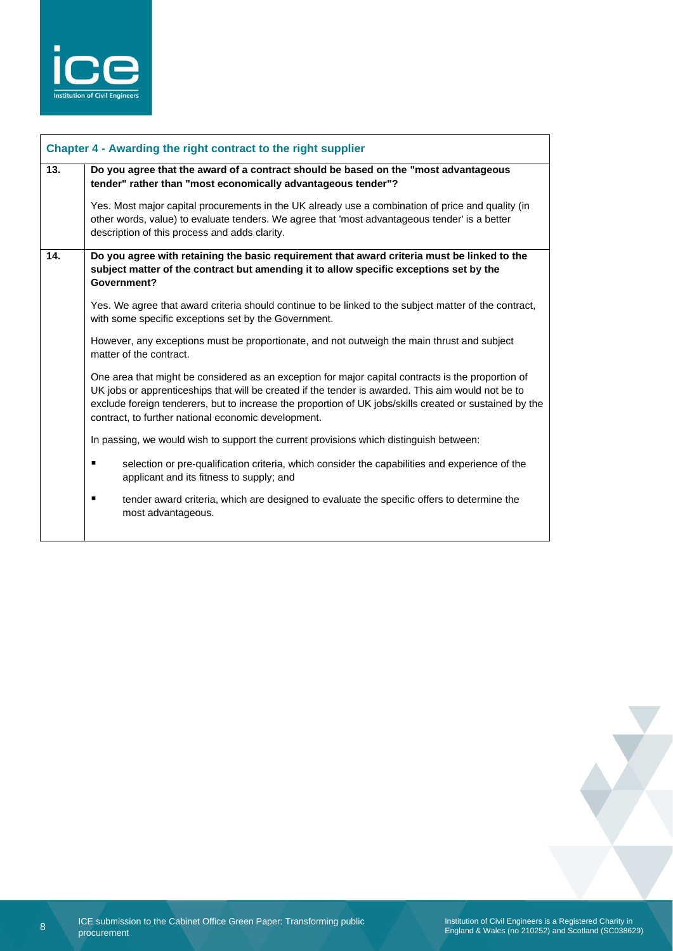

|                                                                                                                                                                                                                           | Chapter 4 - Awarding the right contract to the right supplier                                                                                                                                                                                                                                                                                                              |
|---------------------------------------------------------------------------------------------------------------------------------------------------------------------------------------------------------------------------|----------------------------------------------------------------------------------------------------------------------------------------------------------------------------------------------------------------------------------------------------------------------------------------------------------------------------------------------------------------------------|
| 13.                                                                                                                                                                                                                       | Do you agree that the award of a contract should be based on the "most advantageous<br>tender" rather than "most economically advantageous tender"?                                                                                                                                                                                                                        |
|                                                                                                                                                                                                                           | Yes. Most major capital procurements in the UK already use a combination of price and quality (in<br>other words, value) to evaluate tenders. We agree that 'most advantageous tender' is a better<br>description of this process and adds clarity.                                                                                                                        |
| $\overline{14}$ .<br>Do you agree with retaining the basic requirement that award criteria must be linked to the<br>subject matter of the contract but amending it to allow specific exceptions set by the<br>Government? |                                                                                                                                                                                                                                                                                                                                                                            |
|                                                                                                                                                                                                                           | Yes. We agree that award criteria should continue to be linked to the subject matter of the contract,<br>with some specific exceptions set by the Government.                                                                                                                                                                                                              |
|                                                                                                                                                                                                                           | However, any exceptions must be proportionate, and not outweigh the main thrust and subject<br>matter of the contract.                                                                                                                                                                                                                                                     |
|                                                                                                                                                                                                                           | One area that might be considered as an exception for major capital contracts is the proportion of<br>UK jobs or apprenticeships that will be created if the tender is awarded. This aim would not be to<br>exclude foreign tenderers, but to increase the proportion of UK jobs/skills created or sustained by the<br>contract, to further national economic development. |
|                                                                                                                                                                                                                           | In passing, we would wish to support the current provisions which distinguish between:                                                                                                                                                                                                                                                                                     |
|                                                                                                                                                                                                                           | selection or pre-qualification criteria, which consider the capabilities and experience of the<br>٠<br>applicant and its fitness to supply; and                                                                                                                                                                                                                            |
|                                                                                                                                                                                                                           | tender award criteria, which are designed to evaluate the specific offers to determine the<br>٠<br>most advantageous.                                                                                                                                                                                                                                                      |
|                                                                                                                                                                                                                           |                                                                                                                                                                                                                                                                                                                                                                            |



Institution of Civil Engineers is a Registered Charity in England & Wales (no 210252) and Scotland (SC038629)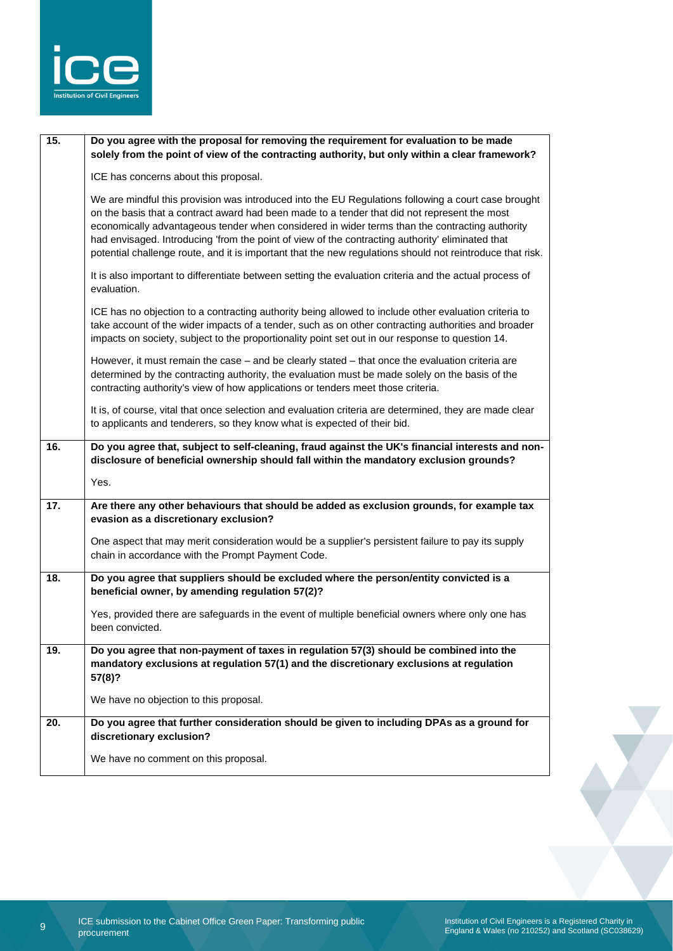

| 15.               | Do you agree with the proposal for removing the requirement for evaluation to be made<br>solely from the point of view of the contracting authority, but only within a clear framework?                                                                                                                                                                                                                                                                                                                                |
|-------------------|------------------------------------------------------------------------------------------------------------------------------------------------------------------------------------------------------------------------------------------------------------------------------------------------------------------------------------------------------------------------------------------------------------------------------------------------------------------------------------------------------------------------|
|                   | ICE has concerns about this proposal.                                                                                                                                                                                                                                                                                                                                                                                                                                                                                  |
|                   | We are mindful this provision was introduced into the EU Regulations following a court case brought<br>on the basis that a contract award had been made to a tender that did not represent the most<br>economically advantageous tender when considered in wider terms than the contracting authority<br>had envisaged. Introducing 'from the point of view of the contracting authority' eliminated that<br>potential challenge route, and it is important that the new regulations should not reintroduce that risk. |
|                   | It is also important to differentiate between setting the evaluation criteria and the actual process of<br>evaluation.                                                                                                                                                                                                                                                                                                                                                                                                 |
|                   | ICE has no objection to a contracting authority being allowed to include other evaluation criteria to<br>take account of the wider impacts of a tender, such as on other contracting authorities and broader<br>impacts on society, subject to the proportionality point set out in our response to question 14.                                                                                                                                                                                                       |
|                   | However, it must remain the case - and be clearly stated - that once the evaluation criteria are<br>determined by the contracting authority, the evaluation must be made solely on the basis of the<br>contracting authority's view of how applications or tenders meet those criteria.                                                                                                                                                                                                                                |
|                   | It is, of course, vital that once selection and evaluation criteria are determined, they are made clear<br>to applicants and tenderers, so they know what is expected of their bid.                                                                                                                                                                                                                                                                                                                                    |
| 16.               | Do you agree that, subject to self-cleaning, fraud against the UK's financial interests and non-                                                                                                                                                                                                                                                                                                                                                                                                                       |
|                   | disclosure of beneficial ownership should fall within the mandatory exclusion grounds?                                                                                                                                                                                                                                                                                                                                                                                                                                 |
|                   | Yes.                                                                                                                                                                                                                                                                                                                                                                                                                                                                                                                   |
| $\overline{17}$ . | Are there any other behaviours that should be added as exclusion grounds, for example tax<br>evasion as a discretionary exclusion?                                                                                                                                                                                                                                                                                                                                                                                     |
|                   | One aspect that may merit consideration would be a supplier's persistent failure to pay its supply<br>chain in accordance with the Prompt Payment Code.                                                                                                                                                                                                                                                                                                                                                                |
| 18.               | Do you agree that suppliers should be excluded where the person/entity convicted is a<br>beneficial owner, by amending regulation 57(2)?                                                                                                                                                                                                                                                                                                                                                                               |
|                   | Yes, provided there are safeguards in the event of multiple beneficial owners where only one has<br>been convicted.                                                                                                                                                                                                                                                                                                                                                                                                    |
| 19.               | Do you agree that non-payment of taxes in regulation 57(3) should be combined into the<br>mandatory exclusions at regulation 57(1) and the discretionary exclusions at regulation<br>57(8)?                                                                                                                                                                                                                                                                                                                            |
|                   | We have no objection to this proposal.                                                                                                                                                                                                                                                                                                                                                                                                                                                                                 |
| 20.               | Do you agree that further consideration should be given to including DPAs as a ground for<br>discretionary exclusion?                                                                                                                                                                                                                                                                                                                                                                                                  |
|                   | We have no comment on this proposal.                                                                                                                                                                                                                                                                                                                                                                                                                                                                                   |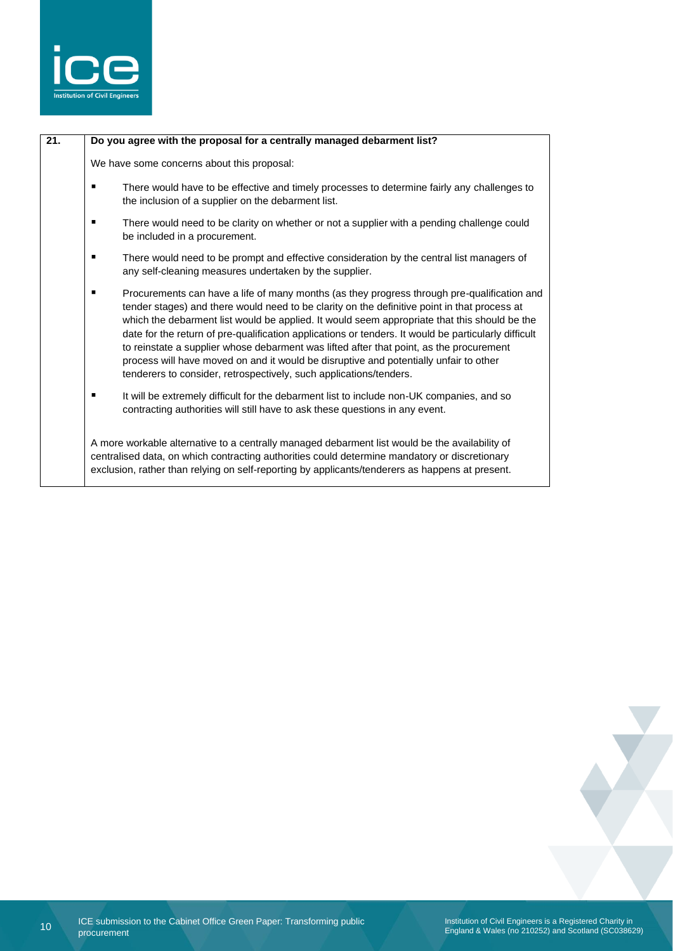

| 21. |   | Do you agree with the proposal for a centrally managed debarment list?                                                                                                                                                                                                                                                                                                                                                                                                                                                                                                                                                                                        |
|-----|---|---------------------------------------------------------------------------------------------------------------------------------------------------------------------------------------------------------------------------------------------------------------------------------------------------------------------------------------------------------------------------------------------------------------------------------------------------------------------------------------------------------------------------------------------------------------------------------------------------------------------------------------------------------------|
|     |   | We have some concerns about this proposal:                                                                                                                                                                                                                                                                                                                                                                                                                                                                                                                                                                                                                    |
|     |   | There would have to be effective and timely processes to determine fairly any challenges to<br>the inclusion of a supplier on the debarment list.                                                                                                                                                                                                                                                                                                                                                                                                                                                                                                             |
|     | ٠ | There would need to be clarity on whether or not a supplier with a pending challenge could<br>be included in a procurement.                                                                                                                                                                                                                                                                                                                                                                                                                                                                                                                                   |
|     | п | There would need to be prompt and effective consideration by the central list managers of<br>any self-cleaning measures undertaken by the supplier.                                                                                                                                                                                                                                                                                                                                                                                                                                                                                                           |
|     |   | Procurements can have a life of many months (as they progress through pre-qualification and<br>tender stages) and there would need to be clarity on the definitive point in that process at<br>which the debarment list would be applied. It would seem appropriate that this should be the<br>date for the return of pre-qualification applications or tenders. It would be particularly difficult<br>to reinstate a supplier whose debarment was lifted after that point, as the procurement<br>process will have moved on and it would be disruptive and potentially unfair to other<br>tenderers to consider, retrospectively, such applications/tenders. |
|     |   | It will be extremely difficult for the debarment list to include non-UK companies, and so<br>contracting authorities will still have to ask these questions in any event.                                                                                                                                                                                                                                                                                                                                                                                                                                                                                     |
|     |   | A more workable alternative to a centrally managed debarment list would be the availability of<br>centralised data, on which contracting authorities could determine mandatory or discretionary<br>exclusion, rather than relying on self-reporting by applicants/tenderers as happens at present.                                                                                                                                                                                                                                                                                                                                                            |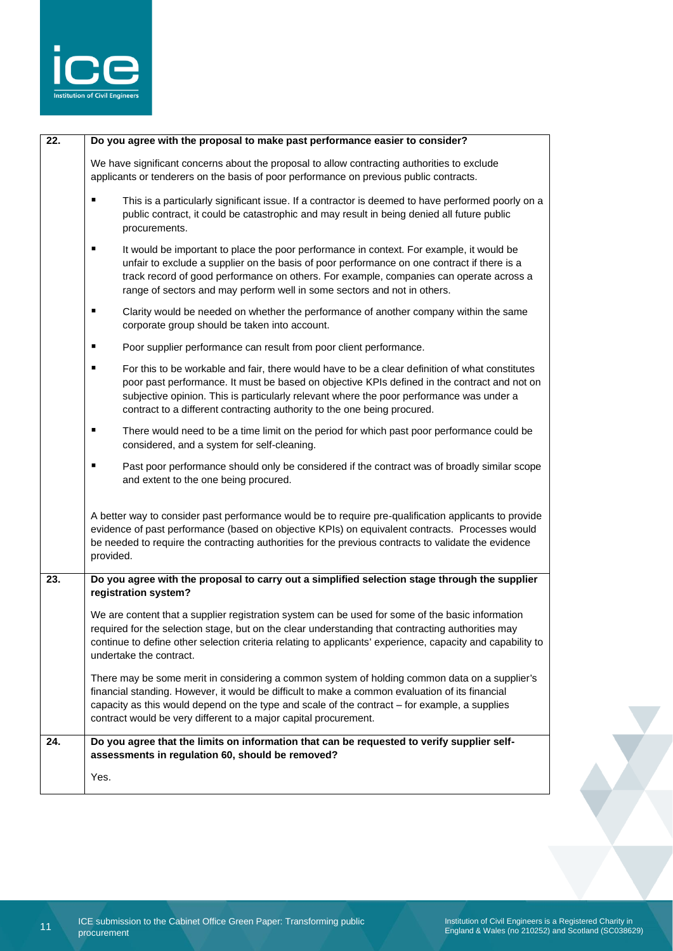

| $\overline{22}$ . | Do you agree with the proposal to make past performance easier to consider?                                                                                                                                                                                                                                                                                                  |
|-------------------|------------------------------------------------------------------------------------------------------------------------------------------------------------------------------------------------------------------------------------------------------------------------------------------------------------------------------------------------------------------------------|
|                   | We have significant concerns about the proposal to allow contracting authorities to exclude<br>applicants or tenderers on the basis of poor performance on previous public contracts.                                                                                                                                                                                        |
|                   | This is a particularly significant issue. If a contractor is deemed to have performed poorly on a<br>٠<br>public contract, it could be catastrophic and may result in being denied all future public<br>procurements.                                                                                                                                                        |
|                   | ٠<br>It would be important to place the poor performance in context. For example, it would be<br>unfair to exclude a supplier on the basis of poor performance on one contract if there is a<br>track record of good performance on others. For example, companies can operate across a<br>range of sectors and may perform well in some sectors and not in others.          |
|                   | ٠<br>Clarity would be needed on whether the performance of another company within the same<br>corporate group should be taken into account.                                                                                                                                                                                                                                  |
|                   | ٠<br>Poor supplier performance can result from poor client performance.                                                                                                                                                                                                                                                                                                      |
|                   | For this to be workable and fair, there would have to be a clear definition of what constitutes<br>٠<br>poor past performance. It must be based on objective KPIs defined in the contract and not on<br>subjective opinion. This is particularly relevant where the poor performance was under a<br>contract to a different contracting authority to the one being procured. |
|                   | ٠<br>There would need to be a time limit on the period for which past poor performance could be<br>considered, and a system for self-cleaning.                                                                                                                                                                                                                               |
|                   | ٠<br>Past poor performance should only be considered if the contract was of broadly similar scope<br>and extent to the one being procured.                                                                                                                                                                                                                                   |
|                   | A better way to consider past performance would be to require pre-qualification applicants to provide<br>evidence of past performance (based on objective KPIs) on equivalent contracts. Processes would<br>be needed to require the contracting authorities for the previous contracts to validate the evidence<br>provided.                                                |
| 23.               | Do you agree with the proposal to carry out a simplified selection stage through the supplier<br>registration system?                                                                                                                                                                                                                                                        |
|                   | We are content that a supplier registration system can be used for some of the basic information<br>required for the selection stage, but on the clear understanding that contracting authorities may<br>continue to define other selection criteria relating to applicants' experience, capacity and capability to<br>undertake the contract.                               |
|                   | There may be some merit in considering a common system of holding common data on a supplier's<br>financial standing. However, it would be difficult to make a common evaluation of its financial<br>capacity as this would depend on the type and scale of the contract - for example, a supplies<br>contract would be very different to a major capital procurement.        |
| 24.               | Do you agree that the limits on information that can be requested to verify supplier self-<br>assessments in regulation 60, should be removed?                                                                                                                                                                                                                               |
|                   | Yes.                                                                                                                                                                                                                                                                                                                                                                         |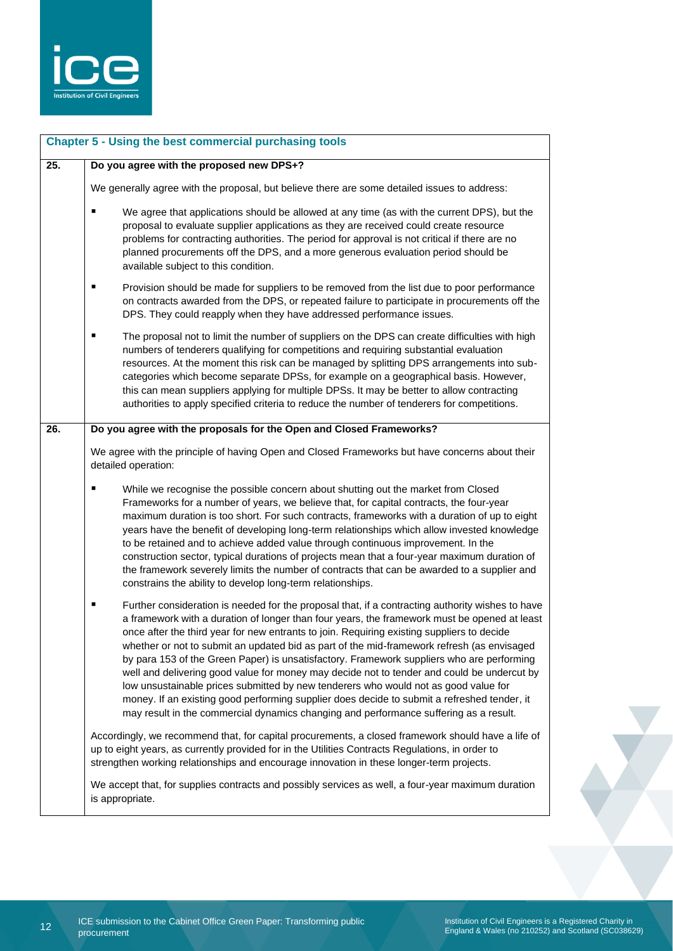

|                   | <b>Chapter 5 - Using the best commercial purchasing tools</b>                                                                                                                                                                                                                                                                                                                                                                                                                                                                                                                                                                                                                                                                                                                                                                                                               |
|-------------------|-----------------------------------------------------------------------------------------------------------------------------------------------------------------------------------------------------------------------------------------------------------------------------------------------------------------------------------------------------------------------------------------------------------------------------------------------------------------------------------------------------------------------------------------------------------------------------------------------------------------------------------------------------------------------------------------------------------------------------------------------------------------------------------------------------------------------------------------------------------------------------|
| $\overline{25}$ . | Do you agree with the proposed new DPS+?                                                                                                                                                                                                                                                                                                                                                                                                                                                                                                                                                                                                                                                                                                                                                                                                                                    |
|                   | We generally agree with the proposal, but believe there are some detailed issues to address:                                                                                                                                                                                                                                                                                                                                                                                                                                                                                                                                                                                                                                                                                                                                                                                |
|                   | We agree that applications should be allowed at any time (as with the current DPS), but the<br>$\blacksquare$<br>proposal to evaluate supplier applications as they are received could create resource<br>problems for contracting authorities. The period for approval is not critical if there are no<br>planned procurements off the DPS, and a more generous evaluation period should be<br>available subject to this condition.                                                                                                                                                                                                                                                                                                                                                                                                                                        |
|                   | Provision should be made for suppliers to be removed from the list due to poor performance<br>on contracts awarded from the DPS, or repeated failure to participate in procurements off the<br>DPS. They could reapply when they have addressed performance issues.                                                                                                                                                                                                                                                                                                                                                                                                                                                                                                                                                                                                         |
|                   | The proposal not to limit the number of suppliers on the DPS can create difficulties with high<br>٠<br>numbers of tenderers qualifying for competitions and requiring substantial evaluation<br>resources. At the moment this risk can be managed by splitting DPS arrangements into sub-<br>categories which become separate DPSs, for example on a geographical basis. However,<br>this can mean suppliers applying for multiple DPSs. It may be better to allow contracting<br>authorities to apply specified criteria to reduce the number of tenderers for competitions.                                                                                                                                                                                                                                                                                               |
| 26.               | Do you agree with the proposals for the Open and Closed Frameworks?                                                                                                                                                                                                                                                                                                                                                                                                                                                                                                                                                                                                                                                                                                                                                                                                         |
|                   | We agree with the principle of having Open and Closed Frameworks but have concerns about their<br>detailed operation:                                                                                                                                                                                                                                                                                                                                                                                                                                                                                                                                                                                                                                                                                                                                                       |
|                   | While we recognise the possible concern about shutting out the market from Closed<br>Frameworks for a number of years, we believe that, for capital contracts, the four-year<br>maximum duration is too short. For such contracts, frameworks with a duration of up to eight<br>years have the benefit of developing long-term relationships which allow invested knowledge<br>to be retained and to achieve added value through continuous improvement. In the<br>construction sector, typical durations of projects mean that a four-year maximum duration of<br>the framework severely limits the number of contracts that can be awarded to a supplier and<br>constrains the ability to develop long-term relationships.                                                                                                                                                |
|                   | Further consideration is needed for the proposal that, if a contracting authority wishes to have<br>٠<br>a framework with a duration of longer than four years, the framework must be opened at least<br>once after the third year for new entrants to join. Requiring existing suppliers to decide<br>whether or not to submit an updated bid as part of the mid-framework refresh (as envisaged<br>by para 153 of the Green Paper) is unsatisfactory. Framework suppliers who are performing<br>well and delivering good value for money may decide not to tender and could be undercut by<br>low unsustainable prices submitted by new tenderers who would not as good value for<br>money. If an existing good performing supplier does decide to submit a refreshed tender, it<br>may result in the commercial dynamics changing and performance suffering as a result. |
|                   | Accordingly, we recommend that, for capital procurements, a closed framework should have a life of<br>up to eight years, as currently provided for in the Utilities Contracts Regulations, in order to<br>strengthen working relationships and encourage innovation in these longer-term projects.                                                                                                                                                                                                                                                                                                                                                                                                                                                                                                                                                                          |
|                   | We accept that, for supplies contracts and possibly services as well, a four-year maximum duration<br>is appropriate.                                                                                                                                                                                                                                                                                                                                                                                                                                                                                                                                                                                                                                                                                                                                                       |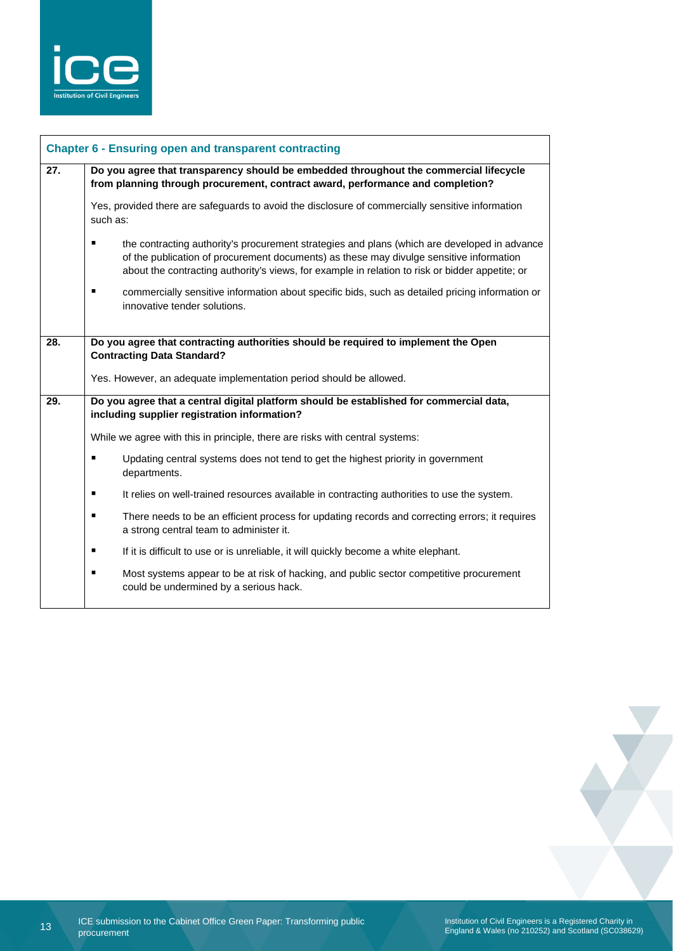

| 27. | Do you agree that transparency should be embedded throughout the commercial lifecycle<br>from planning through procurement, contract award, performance and completion?<br>Yes, provided there are safeguards to avoid the disclosure of commercially sensitive information<br>such as: |                                                                                                                                           |  |
|-----|-----------------------------------------------------------------------------------------------------------------------------------------------------------------------------------------------------------------------------------------------------------------------------------------|-------------------------------------------------------------------------------------------------------------------------------------------|--|
|     |                                                                                                                                                                                                                                                                                         |                                                                                                                                           |  |
|     |                                                                                                                                                                                                                                                                                         | commercially sensitive information about specific bids, such as detailed pricing information or<br>innovative tender solutions.           |  |
| 28. | Do you agree that contracting authorities should be required to implement the Open<br><b>Contracting Data Standard?</b>                                                                                                                                                                 |                                                                                                                                           |  |
|     |                                                                                                                                                                                                                                                                                         | Yes. However, an adequate implementation period should be allowed.                                                                        |  |
| 29. | Do you agree that a central digital platform should be established for commercial data,<br>including supplier registration information?                                                                                                                                                 |                                                                                                                                           |  |
|     |                                                                                                                                                                                                                                                                                         | While we agree with this in principle, there are risks with central systems:                                                              |  |
|     |                                                                                                                                                                                                                                                                                         | Updating central systems does not tend to get the highest priority in government<br>departments.                                          |  |
|     | ٠                                                                                                                                                                                                                                                                                       | It relies on well-trained resources available in contracting authorities to use the system.                                               |  |
|     | п                                                                                                                                                                                                                                                                                       | There needs to be an efficient process for updating records and correcting errors; it requires<br>a strong central team to administer it. |  |
|     | ٠                                                                                                                                                                                                                                                                                       |                                                                                                                                           |  |
|     |                                                                                                                                                                                                                                                                                         | If it is difficult to use or is unreliable, it will quickly become a white elephant.                                                      |  |

13 ICE submission to the Cabinet Office Green Paper: Transforming public procurement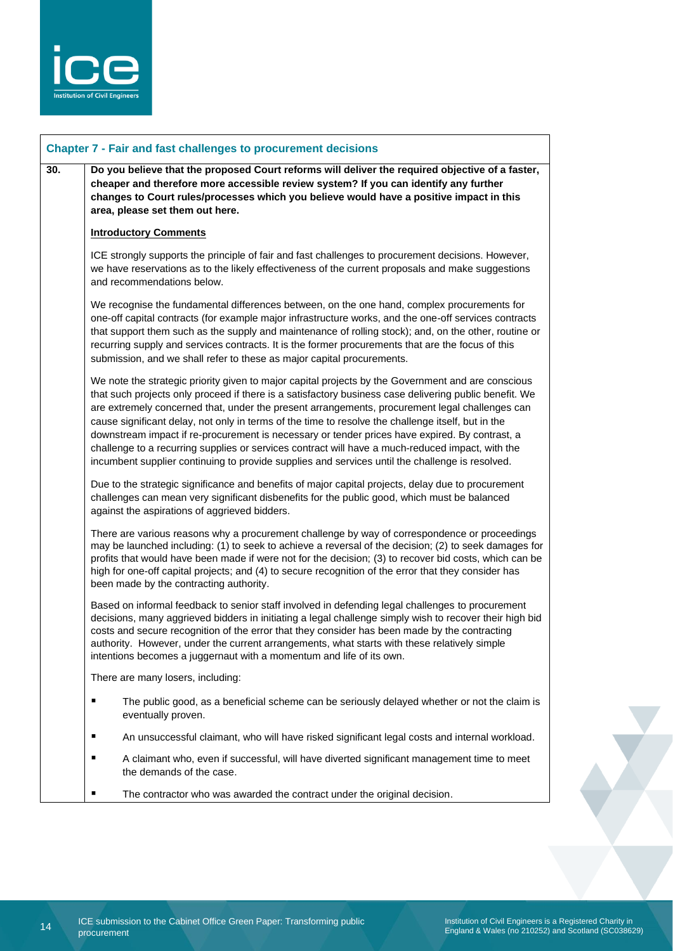

| <b>Chapter 7 - Fair and fast challenges to procurement decisions</b> |                                                                                                                                                                                                                                                                                                                                                                                                                                                                                                                                                                                                                                                                                                                               |
|----------------------------------------------------------------------|-------------------------------------------------------------------------------------------------------------------------------------------------------------------------------------------------------------------------------------------------------------------------------------------------------------------------------------------------------------------------------------------------------------------------------------------------------------------------------------------------------------------------------------------------------------------------------------------------------------------------------------------------------------------------------------------------------------------------------|
| 30.                                                                  | Do you believe that the proposed Court reforms will deliver the required objective of a faster,<br>cheaper and therefore more accessible review system? If you can identify any further<br>changes to Court rules/processes which you believe would have a positive impact in this<br>area, please set them out here.                                                                                                                                                                                                                                                                                                                                                                                                         |
|                                                                      | <b>Introductory Comments</b>                                                                                                                                                                                                                                                                                                                                                                                                                                                                                                                                                                                                                                                                                                  |
|                                                                      | ICE strongly supports the principle of fair and fast challenges to procurement decisions. However,<br>we have reservations as to the likely effectiveness of the current proposals and make suggestions<br>and recommendations below.                                                                                                                                                                                                                                                                                                                                                                                                                                                                                         |
|                                                                      | We recognise the fundamental differences between, on the one hand, complex procurements for<br>one-off capital contracts (for example major infrastructure works, and the one-off services contracts<br>that support them such as the supply and maintenance of rolling stock); and, on the other, routine or<br>recurring supply and services contracts. It is the former procurements that are the focus of this<br>submission, and we shall refer to these as major capital procurements.                                                                                                                                                                                                                                  |
|                                                                      | We note the strategic priority given to major capital projects by the Government and are conscious<br>that such projects only proceed if there is a satisfactory business case delivering public benefit. We<br>are extremely concerned that, under the present arrangements, procurement legal challenges can<br>cause significant delay, not only in terms of the time to resolve the challenge itself, but in the<br>downstream impact if re-procurement is necessary or tender prices have expired. By contrast, a<br>challenge to a recurring supplies or services contract will have a much-reduced impact, with the<br>incumbent supplier continuing to provide supplies and services until the challenge is resolved. |
|                                                                      | Due to the strategic significance and benefits of major capital projects, delay due to procurement<br>challenges can mean very significant disbenefits for the public good, which must be balanced<br>against the aspirations of aggrieved bidders.                                                                                                                                                                                                                                                                                                                                                                                                                                                                           |
|                                                                      | There are various reasons why a procurement challenge by way of correspondence or proceedings<br>may be launched including: (1) to seek to achieve a reversal of the decision; (2) to seek damages for<br>profits that would have been made if were not for the decision; (3) to recover bid costs, which can be<br>high for one-off capital projects; and (4) to secure recognition of the error that they consider has<br>been made by the contracting authority.                                                                                                                                                                                                                                                           |
|                                                                      | Based on informal feedback to senior staff involved in defending legal challenges to procurement<br>decisions, many aggrieved bidders in initiating a legal challenge simply wish to recover their high bid<br>costs and secure recognition of the error that they consider has been made by the contracting<br>authority. However, under the current arrangements, what starts with these relatively simple<br>intentions becomes a juggernaut with a momentum and life of its own.                                                                                                                                                                                                                                          |
|                                                                      | There are many losers, including:                                                                                                                                                                                                                                                                                                                                                                                                                                                                                                                                                                                                                                                                                             |
|                                                                      | ٠<br>The public good, as a beneficial scheme can be seriously delayed whether or not the claim is<br>eventually proven.                                                                                                                                                                                                                                                                                                                                                                                                                                                                                                                                                                                                       |
|                                                                      | An unsuccessful claimant, who will have risked significant legal costs and internal workload.<br>п                                                                                                                                                                                                                                                                                                                                                                                                                                                                                                                                                                                                                            |
|                                                                      | A claimant who, even if successful, will have diverted significant management time to meet<br>٠<br>the demands of the case.                                                                                                                                                                                                                                                                                                                                                                                                                                                                                                                                                                                                   |
|                                                                      | The contractor who was awarded the contract under the original decision.<br>п                                                                                                                                                                                                                                                                                                                                                                                                                                                                                                                                                                                                                                                 |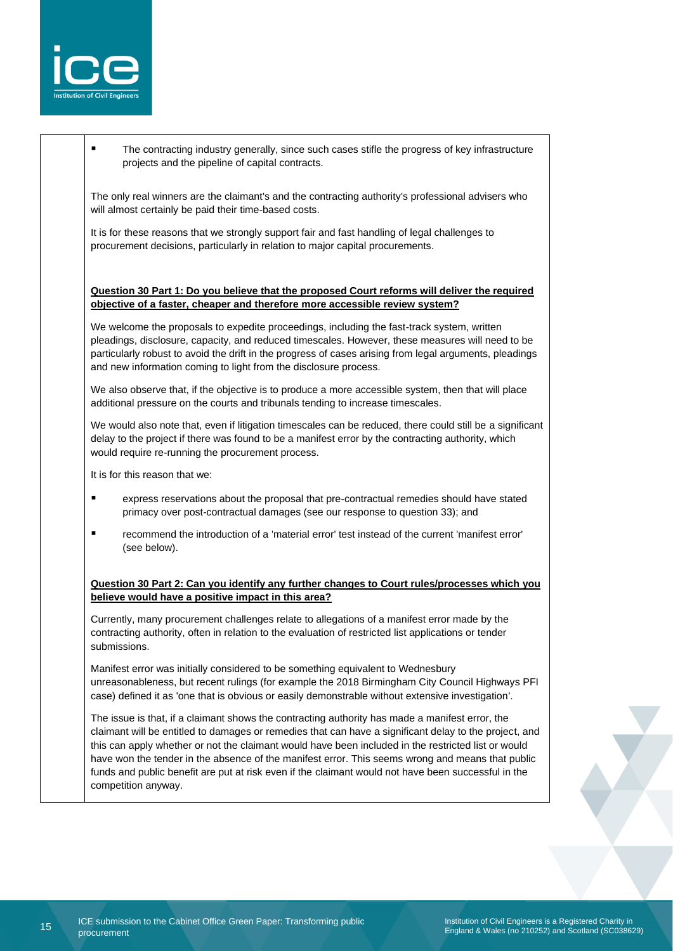

The contracting industry generally, since such cases stifle the progress of key infrastructure projects and the pipeline of capital contracts.

The only real winners are the claimant's and the contracting authority's professional advisers who will almost certainly be paid their time-based costs.

It is for these reasons that we strongly support fair and fast handling of legal challenges to procurement decisions, particularly in relation to major capital procurements.

#### **Question 30 Part 1: Do you believe that the proposed Court reforms will deliver the required objective of a faster, cheaper and therefore more accessible review system?**

We welcome the proposals to expedite proceedings, including the fast-track system, written pleadings, disclosure, capacity, and reduced timescales. However, these measures will need to be particularly robust to avoid the drift in the progress of cases arising from legal arguments, pleadings and new information coming to light from the disclosure process.

We also observe that, if the objective is to produce a more accessible system, then that will place additional pressure on the courts and tribunals tending to increase timescales.

We would also note that, even if litigation timescales can be reduced, there could still be a significant delay to the project if there was found to be a manifest error by the contracting authority, which would require re-running the procurement process.

It is for this reason that we:

- express reservations about the proposal that pre-contractual remedies should have stated primacy over post-contractual damages (see our response to question 33); and
- recommend the introduction of a 'material error' test instead of the current 'manifest error' (see below).

#### **Question 30 Part 2: Can you identify any further changes to Court rules/processes which you believe would have a positive impact in this area?**

Currently, many procurement challenges relate to allegations of a manifest error made by the contracting authority, often in relation to the evaluation of restricted list applications or tender submissions.

Manifest error was initially considered to be something equivalent to Wednesbury unreasonableness, but recent rulings (for example the 2018 Birmingham City Council Highways PFI case) defined it as 'one that is obvious or easily demonstrable without extensive investigation'.

The issue is that, if a claimant shows the contracting authority has made a manifest error, the claimant will be entitled to damages or remedies that can have a significant delay to the project, and this can apply whether or not the claimant would have been included in the restricted list or would have won the tender in the absence of the manifest error. This seems wrong and means that public funds and public benefit are put at risk even if the claimant would not have been successful in the competition anyway.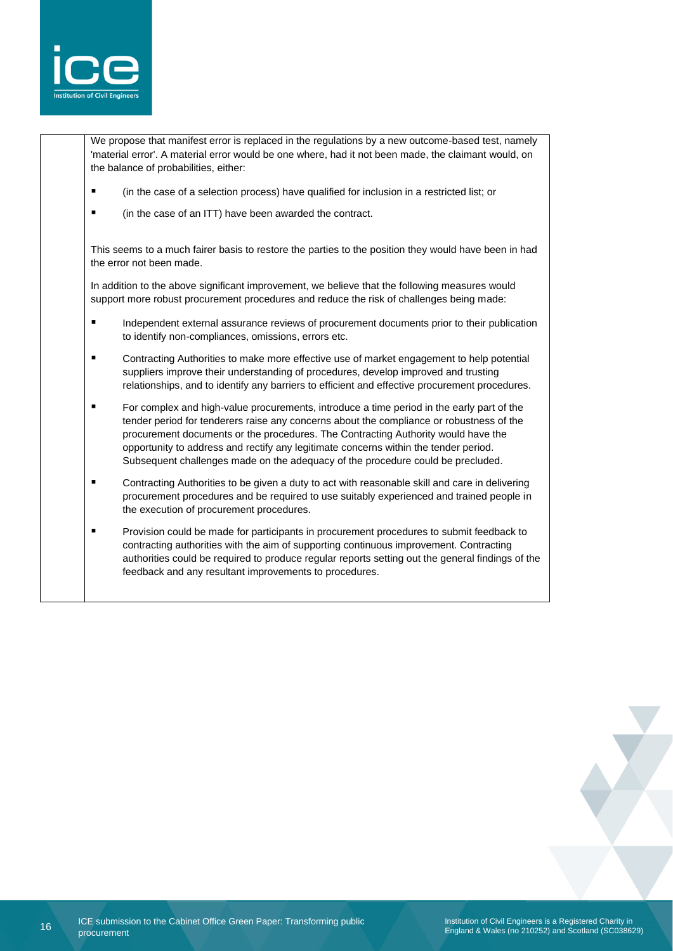

We propose that manifest error is replaced in the regulations by a new outcome-based test, namely 'material error'. A material error would be one where, had it not been made, the claimant would, on the balance of probabilities, either:

- (in the case of a selection process) have qualified for inclusion in a restricted list; or
- (in the case of an ITT) have been awarded the contract.

This seems to a much fairer basis to restore the parties to the position they would have been in had the error not been made.

In addition to the above significant improvement, we believe that the following measures would support more robust procurement procedures and reduce the risk of challenges being made:

- **■** Independent external assurance reviews of procurement documents prior to their publication to identify non-compliances, omissions, errors etc.
- Contracting Authorities to make more effective use of market engagement to help potential suppliers improve their understanding of procedures, develop improved and trusting relationships, and to identify any barriers to efficient and effective procurement procedures.
- For complex and high-value procurements, introduce a time period in the early part of the tender period for tenderers raise any concerns about the compliance or robustness of the procurement documents or the procedures. The Contracting Authority would have the opportunity to address and rectify any legitimate concerns within the tender period. Subsequent challenges made on the adequacy of the procedure could be precluded.
- Contracting Authorities to be given a duty to act with reasonable skill and care in delivering procurement procedures and be required to use suitably experienced and trained people in the execution of procurement procedures.
- **•** Provision could be made for participants in procurement procedures to submit feedback to contracting authorities with the aim of supporting continuous improvement. Contracting authorities could be required to produce regular reports setting out the general findings of the feedback and any resultant improvements to procedures.

Institution of Civil Engineers is a Registered Charity in England & Wales (no 210252) and Scotland (SC038629)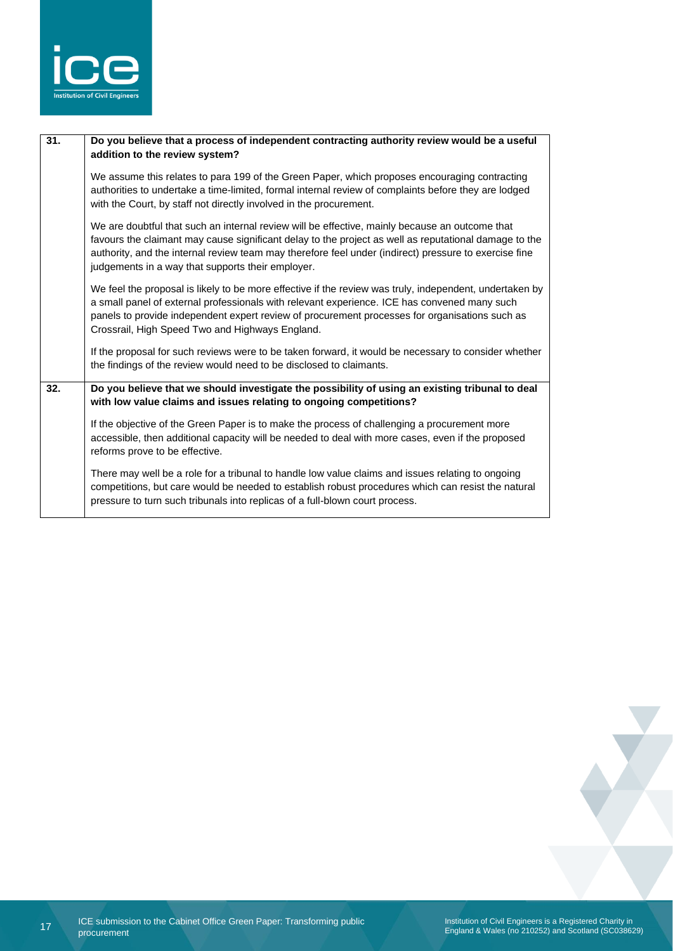

| 31. | Do you believe that a process of independent contracting authority review would be a useful<br>addition to the review system?                                                                                                                                                                                                                                         |
|-----|-----------------------------------------------------------------------------------------------------------------------------------------------------------------------------------------------------------------------------------------------------------------------------------------------------------------------------------------------------------------------|
|     | We assume this relates to para 199 of the Green Paper, which proposes encouraging contracting<br>authorities to undertake a time-limited, formal internal review of complaints before they are lodged<br>with the Court, by staff not directly involved in the procurement.                                                                                           |
|     | We are doubtful that such an internal review will be effective, mainly because an outcome that<br>favours the claimant may cause significant delay to the project as well as reputational damage to the<br>authority, and the internal review team may therefore feel under (indirect) pressure to exercise fine<br>judgements in a way that supports their employer. |
|     | We feel the proposal is likely to be more effective if the review was truly, independent, undertaken by<br>a small panel of external professionals with relevant experience. ICE has convened many such<br>panels to provide independent expert review of procurement processes for organisations such as<br>Crossrail, High Speed Two and Highways England.          |
|     | If the proposal for such reviews were to be taken forward, it would be necessary to consider whether<br>the findings of the review would need to be disclosed to claimants.                                                                                                                                                                                           |
| 32. | Do you believe that we should investigate the possibility of using an existing tribunal to deal<br>with low value claims and issues relating to ongoing competitions?                                                                                                                                                                                                 |
|     | If the objective of the Green Paper is to make the process of challenging a procurement more<br>accessible, then additional capacity will be needed to deal with more cases, even if the proposed<br>reforms prove to be effective.                                                                                                                                   |
|     | There may well be a role for a tribunal to handle low value claims and issues relating to ongoing<br>competitions, but care would be needed to establish robust procedures which can resist the natural<br>pressure to turn such tribunals into replicas of a full-blown court process.                                                                               |
|     |                                                                                                                                                                                                                                                                                                                                                                       |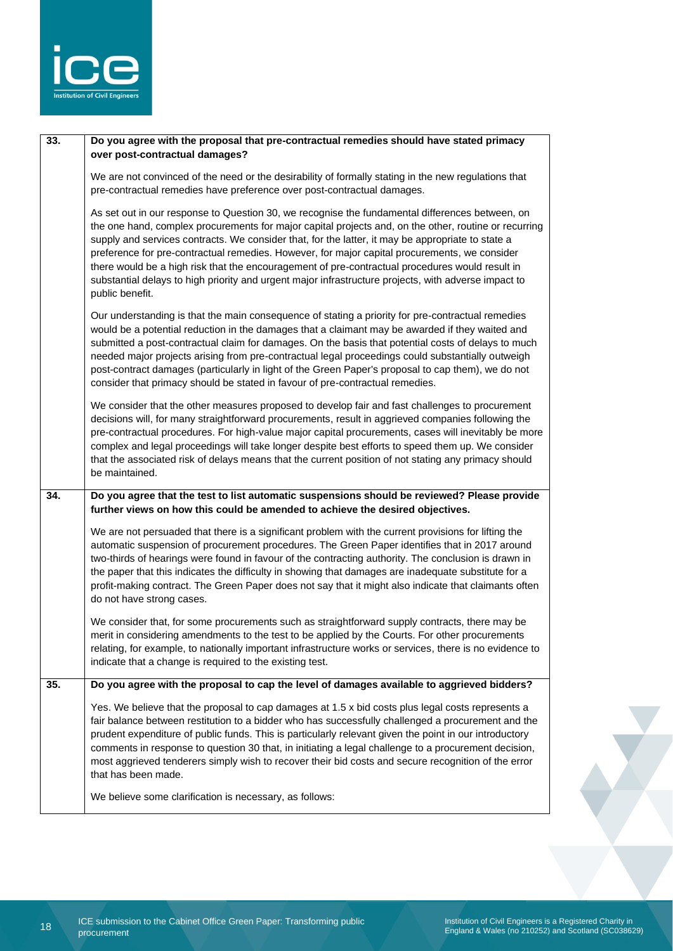

| 33. | Do you agree with the proposal that pre-contractual remedies should have stated primacy<br>over post-contractual damages?                                                                                                                                                                                                                                                                                                                                                                                                                                                                                                                    |
|-----|----------------------------------------------------------------------------------------------------------------------------------------------------------------------------------------------------------------------------------------------------------------------------------------------------------------------------------------------------------------------------------------------------------------------------------------------------------------------------------------------------------------------------------------------------------------------------------------------------------------------------------------------|
|     | We are not convinced of the need or the desirability of formally stating in the new regulations that<br>pre-contractual remedies have preference over post-contractual damages.                                                                                                                                                                                                                                                                                                                                                                                                                                                              |
|     | As set out in our response to Question 30, we recognise the fundamental differences between, on<br>the one hand, complex procurements for major capital projects and, on the other, routine or recurring<br>supply and services contracts. We consider that, for the latter, it may be appropriate to state a<br>preference for pre-contractual remedies. However, for major capital procurements, we consider<br>there would be a high risk that the encouragement of pre-contractual procedures would result in<br>substantial delays to high priority and urgent major infrastructure projects, with adverse impact to<br>public benefit. |
|     | Our understanding is that the main consequence of stating a priority for pre-contractual remedies<br>would be a potential reduction in the damages that a claimant may be awarded if they waited and<br>submitted a post-contractual claim for damages. On the basis that potential costs of delays to much<br>needed major projects arising from pre-contractual legal proceedings could substantially outweigh<br>post-contract damages (particularly in light of the Green Paper's proposal to cap them), we do not<br>consider that primacy should be stated in favour of pre-contractual remedies.                                      |
|     | We consider that the other measures proposed to develop fair and fast challenges to procurement<br>decisions will, for many straightforward procurements, result in aggrieved companies following the<br>pre-contractual procedures. For high-value major capital procurements, cases will inevitably be more<br>complex and legal proceedings will take longer despite best efforts to speed them up. We consider<br>that the associated risk of delays means that the current position of not stating any primacy should<br>be maintained.                                                                                                 |
| 34. | Do you agree that the test to list automatic suspensions should be reviewed? Please provide<br>further views on how this could be amended to achieve the desired objectives.                                                                                                                                                                                                                                                                                                                                                                                                                                                                 |
|     | We are not persuaded that there is a significant problem with the current provisions for lifting the<br>automatic suspension of procurement procedures. The Green Paper identifies that in 2017 around<br>two-thirds of hearings were found in favour of the contracting authority. The conclusion is drawn in<br>the paper that this indicates the difficulty in showing that damages are inadequate substitute for a<br>profit-making contract. The Green Paper does not say that it might also indicate that claimants often<br>do not have strong cases.                                                                                 |
|     | We consider that, for some procurements such as straightforward supply contracts, there may be<br>merit in considering amendments to the test to be applied by the Courts. For other procurements<br>relating, for example, to nationally important infrastructure works or services, there is no evidence to<br>indicate that a change is required to the existing test.                                                                                                                                                                                                                                                                    |
| 35. | Do you agree with the proposal to cap the level of damages available to aggrieved bidders?                                                                                                                                                                                                                                                                                                                                                                                                                                                                                                                                                   |
|     | Yes. We believe that the proposal to cap damages at 1.5 x bid costs plus legal costs represents a<br>fair balance between restitution to a bidder who has successfully challenged a procurement and the<br>prudent expenditure of public funds. This is particularly relevant given the point in our introductory<br>comments in response to question 30 that, in initiating a legal challenge to a procurement decision,<br>most aggrieved tenderers simply wish to recover their bid costs and secure recognition of the error<br>that has been made.                                                                                      |
|     | We believe some clarification is necessary, as follows:                                                                                                                                                                                                                                                                                                                                                                                                                                                                                                                                                                                      |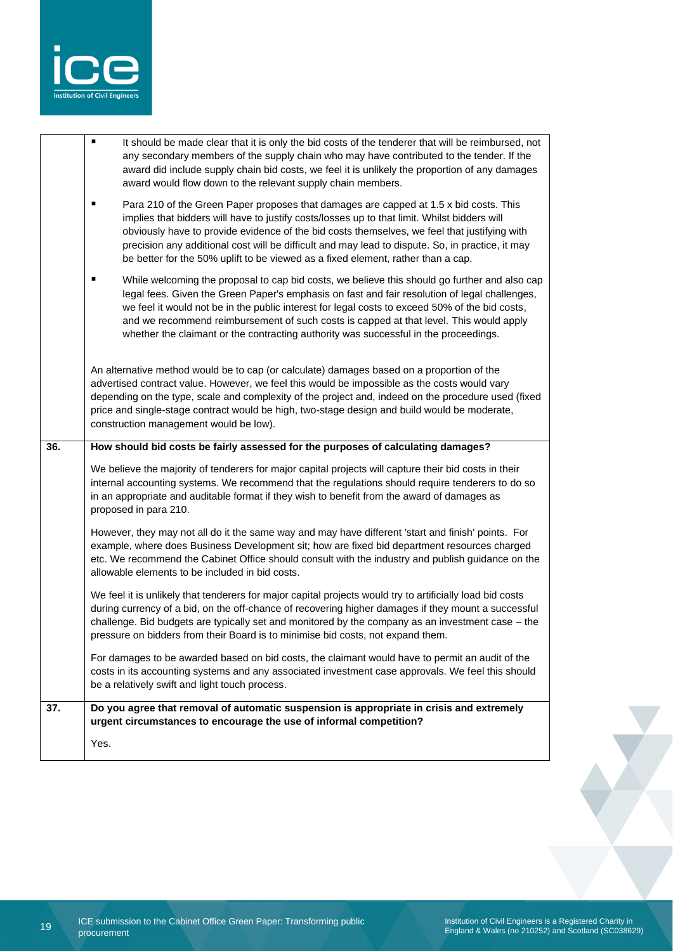

|     | Yes.                                                                                                                                                                                                                                                                                                                                                                                                                                                                                    |
|-----|-----------------------------------------------------------------------------------------------------------------------------------------------------------------------------------------------------------------------------------------------------------------------------------------------------------------------------------------------------------------------------------------------------------------------------------------------------------------------------------------|
| 37. | Do you agree that removal of automatic suspension is appropriate in crisis and extremely<br>urgent circumstances to encourage the use of informal competition?                                                                                                                                                                                                                                                                                                                          |
|     | For damages to be awarded based on bid costs, the claimant would have to permit an audit of the<br>costs in its accounting systems and any associated investment case approvals. We feel this should<br>be a relatively swift and light touch process.                                                                                                                                                                                                                                  |
|     | We feel it is unlikely that tenderers for major capital projects would try to artificially load bid costs<br>during currency of a bid, on the off-chance of recovering higher damages if they mount a successful<br>challenge. Bid budgets are typically set and monitored by the company as an investment case - the<br>pressure on bidders from their Board is to minimise bid costs, not expand them.                                                                                |
|     | However, they may not all do it the same way and may have different 'start and finish' points. For<br>example, where does Business Development sit; how are fixed bid department resources charged<br>etc. We recommend the Cabinet Office should consult with the industry and publish guidance on the<br>allowable elements to be included in bid costs.                                                                                                                              |
|     | We believe the majority of tenderers for major capital projects will capture their bid costs in their<br>internal accounting systems. We recommend that the regulations should require tenderers to do so<br>in an appropriate and auditable format if they wish to benefit from the award of damages as<br>proposed in para 210.                                                                                                                                                       |
| 36. | How should bid costs be fairly assessed for the purposes of calculating damages?                                                                                                                                                                                                                                                                                                                                                                                                        |
|     | An alternative method would be to cap (or calculate) damages based on a proportion of the<br>advertised contract value. However, we feel this would be impossible as the costs would vary<br>depending on the type, scale and complexity of the project and, indeed on the procedure used (fixed<br>price and single-stage contract would be high, two-stage design and build would be moderate,<br>construction management would be low).                                              |
|     | While welcoming the proposal to cap bid costs, we believe this should go further and also cap<br>٠<br>legal fees. Given the Green Paper's emphasis on fast and fair resolution of legal challenges,<br>we feel it would not be in the public interest for legal costs to exceed 50% of the bid costs,<br>and we recommend reimbursement of such costs is capped at that level. This would apply<br>whether the claimant or the contracting authority was successful in the proceedings. |
|     | ٠<br>Para 210 of the Green Paper proposes that damages are capped at 1.5 x bid costs. This<br>implies that bidders will have to justify costs/losses up to that limit. Whilst bidders will<br>obviously have to provide evidence of the bid costs themselves, we feel that justifying with<br>precision any additional cost will be difficult and may lead to dispute. So, in practice, it may<br>be better for the 50% uplift to be viewed as a fixed element, rather than a cap.      |
|     | Ξ<br>It should be made clear that it is only the bid costs of the tenderer that will be reimbursed, not<br>any secondary members of the supply chain who may have contributed to the tender. If the<br>award did include supply chain bid costs, we feel it is unlikely the proportion of any damages<br>award would flow down to the relevant supply chain members.                                                                                                                    |

Y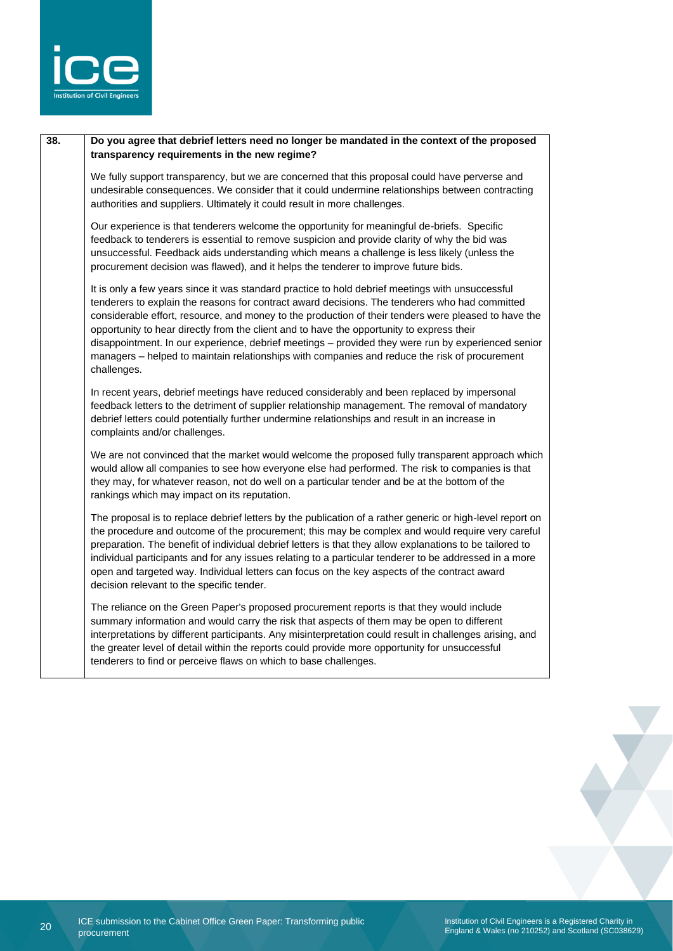

#### **38. Do you agree that debrief letters need no longer be mandated in the context of the proposed transparency requirements in the new regime?**

We fully support transparency, but we are concerned that this proposal could have perverse and undesirable consequences. We consider that it could undermine relationships between contracting authorities and suppliers. Ultimately it could result in more challenges.

Our experience is that tenderers welcome the opportunity for meaningful de-briefs. Specific feedback to tenderers is essential to remove suspicion and provide clarity of why the bid was unsuccessful. Feedback aids understanding which means a challenge is less likely (unless the procurement decision was flawed), and it helps the tenderer to improve future bids.

It is only a few years since it was standard practice to hold debrief meetings with unsuccessful tenderers to explain the reasons for contract award decisions. The tenderers who had committed considerable effort, resource, and money to the production of their tenders were pleased to have the opportunity to hear directly from the client and to have the opportunity to express their disappointment. In our experience, debrief meetings – provided they were run by experienced senior managers – helped to maintain relationships with companies and reduce the risk of procurement challenges.

In recent years, debrief meetings have reduced considerably and been replaced by impersonal feedback letters to the detriment of supplier relationship management. The removal of mandatory debrief letters could potentially further undermine relationships and result in an increase in complaints and/or challenges.

We are not convinced that the market would welcome the proposed fully transparent approach which would allow all companies to see how everyone else had performed. The risk to companies is that they may, for whatever reason, not do well on a particular tender and be at the bottom of the rankings which may impact on its reputation.

The proposal is to replace debrief letters by the publication of a rather generic or high-level report on the procedure and outcome of the procurement; this may be complex and would require very careful preparation. The benefit of individual debrief letters is that they allow explanations to be tailored to individual participants and for any issues relating to a particular tenderer to be addressed in a more open and targeted way. Individual letters can focus on the key aspects of the contract award decision relevant to the specific tender.

The reliance on the Green Paper's proposed procurement reports is that they would include summary information and would carry the risk that aspects of them may be open to different interpretations by different participants. Any misinterpretation could result in challenges arising, and the greater level of detail within the reports could provide more opportunity for unsuccessful tenderers to find or perceive flaws on which to base challenges.



Institution of Civil Engineers is a Registered Charity in England & Wales (no 210252) and Scotland (SC038629)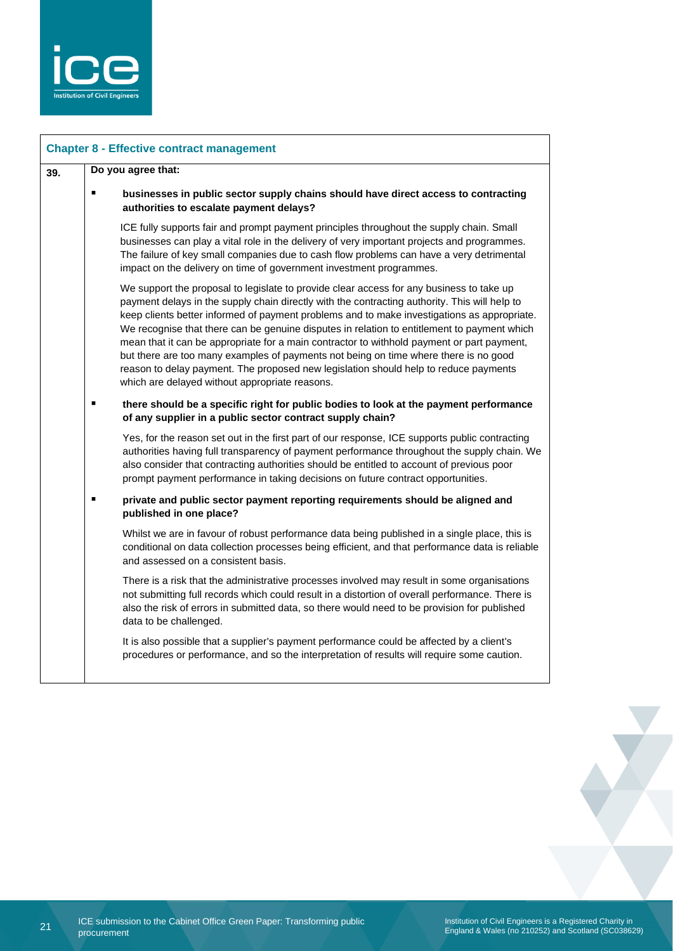

| <b>Chapter 8 - Effective contract management</b> |                    |                                                                                                                                                                                                                                                                                                                                                                                                                                                                                                                                                                                                                                                                                                                         |  |  |
|--------------------------------------------------|--------------------|-------------------------------------------------------------------------------------------------------------------------------------------------------------------------------------------------------------------------------------------------------------------------------------------------------------------------------------------------------------------------------------------------------------------------------------------------------------------------------------------------------------------------------------------------------------------------------------------------------------------------------------------------------------------------------------------------------------------------|--|--|
| 39.                                              | Do you agree that: |                                                                                                                                                                                                                                                                                                                                                                                                                                                                                                                                                                                                                                                                                                                         |  |  |
|                                                  |                    | businesses in public sector supply chains should have direct access to contracting<br>authorities to escalate payment delays?                                                                                                                                                                                                                                                                                                                                                                                                                                                                                                                                                                                           |  |  |
|                                                  |                    | ICE fully supports fair and prompt payment principles throughout the supply chain. Small<br>businesses can play a vital role in the delivery of very important projects and programmes.<br>The failure of key small companies due to cash flow problems can have a very detrimental<br>impact on the delivery on time of government investment programmes.                                                                                                                                                                                                                                                                                                                                                              |  |  |
|                                                  |                    | We support the proposal to legislate to provide clear access for any business to take up<br>payment delays in the supply chain directly with the contracting authority. This will help to<br>keep clients better informed of payment problems and to make investigations as appropriate.<br>We recognise that there can be genuine disputes in relation to entitlement to payment which<br>mean that it can be appropriate for a main contractor to withhold payment or part payment,<br>but there are too many examples of payments not being on time where there is no good<br>reason to delay payment. The proposed new legislation should help to reduce payments<br>which are delayed without appropriate reasons. |  |  |
|                                                  |                    | there should be a specific right for public bodies to look at the payment performance<br>of any supplier in a public sector contract supply chain?                                                                                                                                                                                                                                                                                                                                                                                                                                                                                                                                                                      |  |  |
|                                                  |                    | Yes, for the reason set out in the first part of our response, ICE supports public contracting<br>authorities having full transparency of payment performance throughout the supply chain. We<br>also consider that contracting authorities should be entitled to account of previous poor<br>prompt payment performance in taking decisions on future contract opportunities.                                                                                                                                                                                                                                                                                                                                          |  |  |
|                                                  |                    | private and public sector payment reporting requirements should be aligned and<br>published in one place?                                                                                                                                                                                                                                                                                                                                                                                                                                                                                                                                                                                                               |  |  |
|                                                  |                    | Whilst we are in favour of robust performance data being published in a single place, this is<br>conditional on data collection processes being efficient, and that performance data is reliable<br>and assessed on a consistent basis.                                                                                                                                                                                                                                                                                                                                                                                                                                                                                 |  |  |
|                                                  |                    | There is a risk that the administrative processes involved may result in some organisations<br>not submitting full records which could result in a distortion of overall performance. There is<br>also the risk of errors in submitted data, so there would need to be provision for published<br>data to be challenged.                                                                                                                                                                                                                                                                                                                                                                                                |  |  |
|                                                  |                    | It is also possible that a supplier's payment performance could be affected by a client's<br>procedures or performance, and so the interpretation of results will require some caution.                                                                                                                                                                                                                                                                                                                                                                                                                                                                                                                                 |  |  |
|                                                  |                    |                                                                                                                                                                                                                                                                                                                                                                                                                                                                                                                                                                                                                                                                                                                         |  |  |

Institution of Civil Engineers is a Registered Charity in England & Wales (no 210252) and Scotland (SC038629)